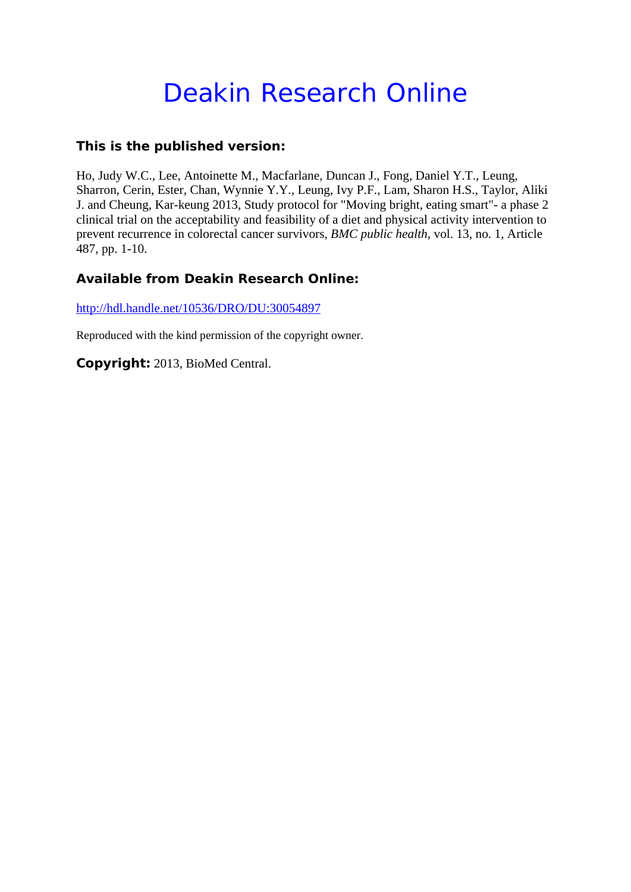# Deakin Research Online

# **This is the published version:**

Ho, Judy W.C., Lee, Antoinette M., Macfarlane, Duncan J., Fong, Daniel Y.T., Leung, Sharron, Cerin, Ester, Chan, Wynnie Y.Y., Leung, Ivy P.F., Lam, Sharon H.S., Taylor, Aliki J. and Cheung, Kar-keung 2013, Study protocol for "Moving bright, eating smart"- a phase 2 clinical trial on the acceptability and feasibility of a diet and physical activity intervention to prevent recurrence in colorectal cancer survivors*, BMC public health*, vol. 13, no. 1, Article 487, pp. 1-10.

# **Available from Deakin Research Online:**

http://hdl.handle.net/10536/DRO/DU:30054897

Reproduced with the kind permission of the copyright owner.

**Copyright:** 2013, BioMed Central.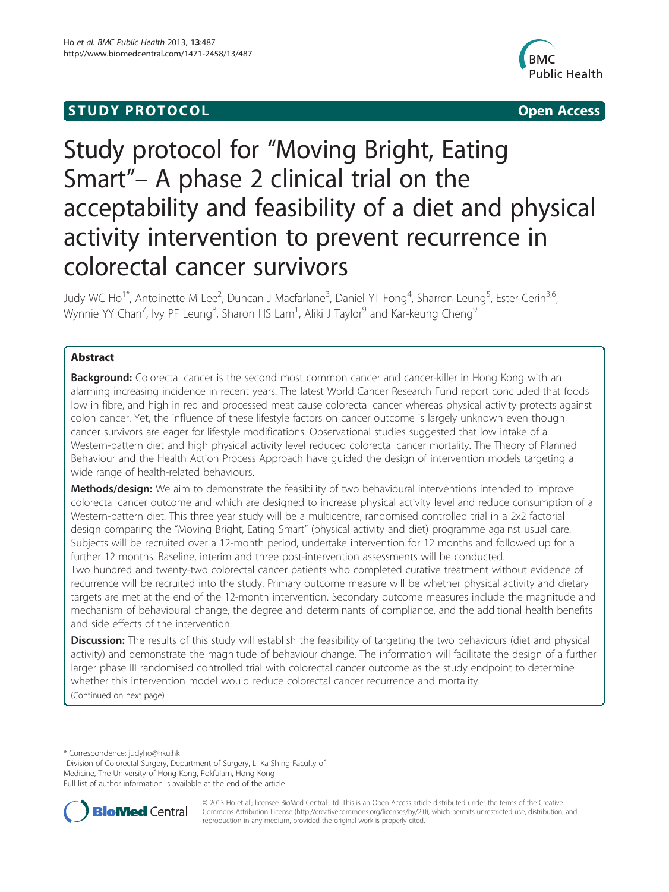# **STUDY PROTOCOL CONSUMING THE STUDY PROTOCOL**



# Study protocol for "Moving Bright, Eating Smart"– A phase 2 clinical trial on the acceptability and feasibility of a diet and physical activity intervention to prevent recurrence in colorectal cancer survivors

Judy WC Ho<sup>1\*</sup>, Antoinette M Lee<sup>2</sup>, Duncan J Macfarlane<sup>3</sup>, Daniel YT Fong<sup>4</sup>, Sharron Leung<sup>5</sup>, Ester Cerin<sup>3,6</sup>, Wynnie YY Chan<sup>7</sup>, Ivy PF Leung $^8$ , Sharon HS Lam $^1$ , Aliki J Taylor $^9$  and Kar-keung Cheng $^9$ 

# Abstract

Background: Colorectal cancer is the second most common cancer and cancer-killer in Hong Kong with an alarming increasing incidence in recent years. The latest World Cancer Research Fund report concluded that foods low in fibre, and high in red and processed meat cause colorectal cancer whereas physical activity protects against colon cancer. Yet, the influence of these lifestyle factors on cancer outcome is largely unknown even though cancer survivors are eager for lifestyle modifications. Observational studies suggested that low intake of a Western-pattern diet and high physical activity level reduced colorectal cancer mortality. The Theory of Planned Behaviour and the Health Action Process Approach have guided the design of intervention models targeting a wide range of health-related behaviours.

Methods/design: We aim to demonstrate the feasibility of two behavioural interventions intended to improve colorectal cancer outcome and which are designed to increase physical activity level and reduce consumption of a Western-pattern diet. This three year study will be a multicentre, randomised controlled trial in a 2x2 factorial design comparing the "Moving Bright, Eating Smart" (physical activity and diet) programme against usual care. Subjects will be recruited over a 12-month period, undertake intervention for 12 months and followed up for a further 12 months. Baseline, interim and three post-intervention assessments will be conducted.

Two hundred and twenty-two colorectal cancer patients who completed curative treatment without evidence of recurrence will be recruited into the study. Primary outcome measure will be whether physical activity and dietary targets are met at the end of the 12-month intervention. Secondary outcome measures include the magnitude and mechanism of behavioural change, the degree and determinants of compliance, and the additional health benefits and side effects of the intervention.

**Discussion:** The results of this study will establish the feasibility of targeting the two behaviours (diet and physical activity) and demonstrate the magnitude of behaviour change. The information will facilitate the design of a further larger phase III randomised controlled trial with colorectal cancer outcome as the study endpoint to determine whether this intervention model would reduce colorectal cancer recurrence and mortality. (Continued on next page)

\* Correspondence: [judyho@hku.hk](mailto:judyho@hku.hk) <sup>1</sup>

<sup>1</sup> Division of Colorectal Surgery, Department of Surgery, Li Ka Shing Faculty of Medicine, The University of Hong Kong, Pokfulam, Hong Kong

Full list of author information is available at the end of the article



© 2013 Ho et al.; licensee BioMed Central Ltd. This is an Open Access article distributed under the terms of the Creative Commons Attribution License [\(http://creativecommons.org/licenses/by/2.0\)](http://creativecommons.org/licenses/by/2.0), which permits unrestricted use, distribution, and reproduction in any medium, provided the original work is properly cited.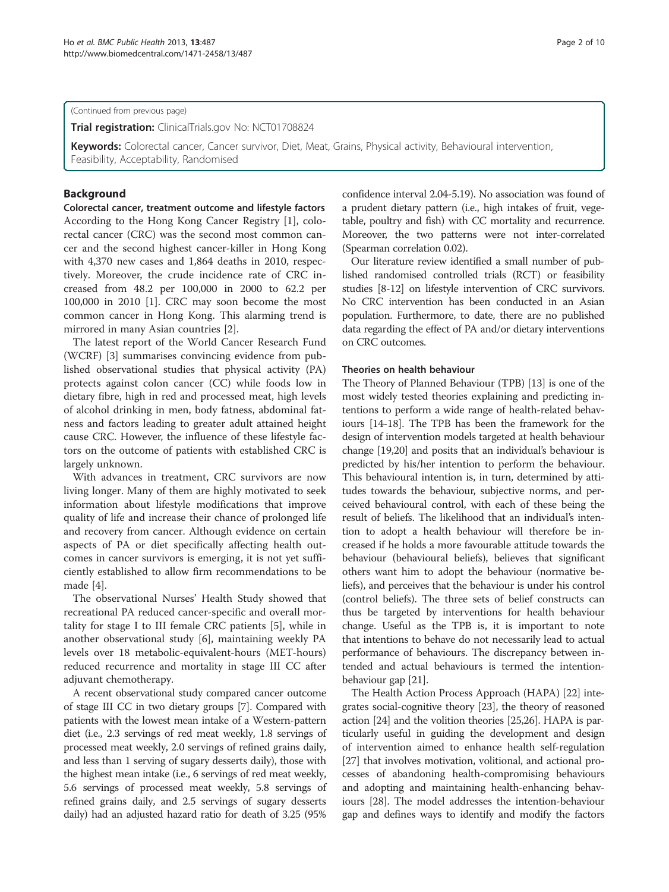(Continued from previous page)

Trial registration: ClinicalTrials.gov No: [NCT01708824](http://www.clinicaltrial.gov/ct2/show/NCT01708824?term=NCT01708824&rank=1)

Keywords: Colorectal cancer, Cancer survivor, Diet, Meat, Grains, Physical activity, Behavioural intervention, Feasibility, Acceptability, Randomised

## **Background**

Colorectal cancer, treatment outcome and lifestyle factors According to the Hong Kong Cancer Registry [[1\]](#page-9-0), colorectal cancer (CRC) was the second most common cancer and the second highest cancer-killer in Hong Kong with 4,370 new cases and 1,864 deaths in 2010, respectively. Moreover, the crude incidence rate of CRC increased from 48.2 per 100,000 in 2000 to 62.2 per 100,000 in 2010 [[1\]](#page-9-0). CRC may soon become the most common cancer in Hong Kong. This alarming trend is mirrored in many Asian countries [[2](#page-9-0)].

The latest report of the World Cancer Research Fund (WCRF) [[3\]](#page-9-0) summarises convincing evidence from published observational studies that physical activity (PA) protects against colon cancer (CC) while foods low in dietary fibre, high in red and processed meat, high levels of alcohol drinking in men, body fatness, abdominal fatness and factors leading to greater adult attained height cause CRC. However, the influence of these lifestyle factors on the outcome of patients with established CRC is largely unknown.

With advances in treatment, CRC survivors are now living longer. Many of them are highly motivated to seek information about lifestyle modifications that improve quality of life and increase their chance of prolonged life and recovery from cancer. Although evidence on certain aspects of PA or diet specifically affecting health outcomes in cancer survivors is emerging, it is not yet sufficiently established to allow firm recommendations to be made [[4\]](#page-9-0).

The observational Nurses' Health Study showed that recreational PA reduced cancer-specific and overall mortality for stage I to III female CRC patients [[5\]](#page-9-0), while in another observational study [[6\]](#page-10-0), maintaining weekly PA levels over 18 metabolic-equivalent-hours (MET-hours) reduced recurrence and mortality in stage III CC after adjuvant chemotherapy.

A recent observational study compared cancer outcome of stage III CC in two dietary groups [\[7](#page-10-0)]. Compared with patients with the lowest mean intake of a Western-pattern diet (i.e., 2.3 servings of red meat weekly, 1.8 servings of processed meat weekly, 2.0 servings of refined grains daily, and less than 1 serving of sugary desserts daily), those with the highest mean intake (i.e., 6 servings of red meat weekly, 5.6 servings of processed meat weekly, 5.8 servings of refined grains daily, and 2.5 servings of sugary desserts daily) had an adjusted hazard ratio for death of 3.25 (95% confidence interval 2.04-5.19). No association was found of a prudent dietary pattern (i.e., high intakes of fruit, vegetable, poultry and fish) with CC mortality and recurrence. Moreover, the two patterns were not inter-correlated (Spearman correlation 0.02).

Our literature review identified a small number of published randomised controlled trials (RCT) or feasibility studies [\[8-12\]](#page-10-0) on lifestyle intervention of CRC survivors. No CRC intervention has been conducted in an Asian population. Furthermore, to date, there are no published data regarding the effect of PA and/or dietary interventions on CRC outcomes.

#### Theories on health behaviour

The Theory of Planned Behaviour (TPB) [\[13\]](#page-10-0) is one of the most widely tested theories explaining and predicting intentions to perform a wide range of health-related behaviours [\[14-18\]](#page-10-0). The TPB has been the framework for the design of intervention models targeted at health behaviour change [\[19,20](#page-10-0)] and posits that an individual's behaviour is predicted by his/her intention to perform the behaviour. This behavioural intention is, in turn, determined by attitudes towards the behaviour, subjective norms, and perceived behavioural control, with each of these being the result of beliefs. The likelihood that an individual's intention to adopt a health behaviour will therefore be increased if he holds a more favourable attitude towards the behaviour (behavioural beliefs), believes that significant others want him to adopt the behaviour (normative beliefs), and perceives that the behaviour is under his control (control beliefs). The three sets of belief constructs can thus be targeted by interventions for health behaviour change. Useful as the TPB is, it is important to note that intentions to behave do not necessarily lead to actual performance of behaviours. The discrepancy between intended and actual behaviours is termed the intentionbehaviour gap [[21](#page-10-0)].

The Health Action Process Approach (HAPA) [\[22\]](#page-10-0) integrates social-cognitive theory [[23](#page-10-0)], the theory of reasoned action [\[24\]](#page-10-0) and the volition theories [[25,26](#page-10-0)]. HAPA is particularly useful in guiding the development and design of intervention aimed to enhance health self-regulation [[27](#page-10-0)] that involves motivation, volitional, and actional processes of abandoning health-compromising behaviours and adopting and maintaining health-enhancing behaviours [\[28\]](#page-10-0). The model addresses the intention-behaviour gap and defines ways to identify and modify the factors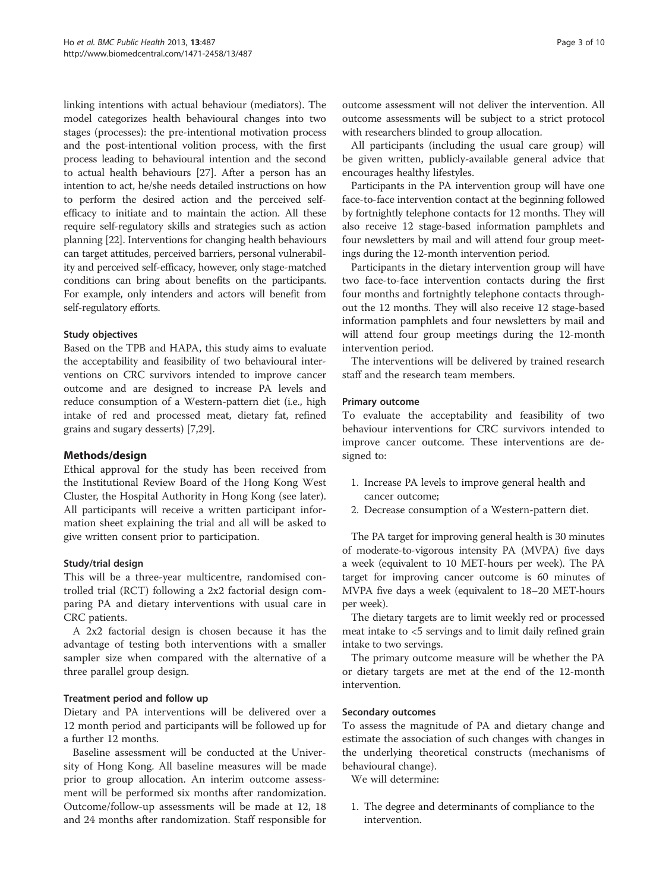linking intentions with actual behaviour (mediators). The model categorizes health behavioural changes into two stages (processes): the pre-intentional motivation process and the post-intentional volition process, with the first process leading to behavioural intention and the second to actual health behaviours [[27](#page-10-0)]. After a person has an intention to act, he/she needs detailed instructions on how to perform the desired action and the perceived selfefficacy to initiate and to maintain the action. All these require self-regulatory skills and strategies such as action planning [[22](#page-10-0)]. Interventions for changing health behaviours can target attitudes, perceived barriers, personal vulnerability and perceived self-efficacy, however, only stage-matched conditions can bring about benefits on the participants. For example, only intenders and actors will benefit from self-regulatory efforts.

## Study objectives

Based on the TPB and HAPA, this study aims to evaluate the acceptability and feasibility of two behavioural interventions on CRC survivors intended to improve cancer outcome and are designed to increase PA levels and reduce consumption of a Western-pattern diet (i.e., high intake of red and processed meat, dietary fat, refined grains and sugary desserts) [[7,29](#page-10-0)].

# Methods/design

Ethical approval for the study has been received from the Institutional Review Board of the Hong Kong West Cluster, the Hospital Authority in Hong Kong (see later). All participants will receive a written participant information sheet explaining the trial and all will be asked to give written consent prior to participation.

## Study/trial design

This will be a three-year multicentre, randomised controlled trial (RCT) following a 2x2 factorial design comparing PA and dietary interventions with usual care in CRC patients.

A 2x2 factorial design is chosen because it has the advantage of testing both interventions with a smaller sampler size when compared with the alternative of a three parallel group design.

## Treatment period and follow up

Dietary and PA interventions will be delivered over a 12 month period and participants will be followed up for a further 12 months.

Baseline assessment will be conducted at the University of Hong Kong. All baseline measures will be made prior to group allocation. An interim outcome assessment will be performed six months after randomization. Outcome/follow-up assessments will be made at 12, 18 and 24 months after randomization. Staff responsible for

outcome assessment will not deliver the intervention. All outcome assessments will be subject to a strict protocol with researchers blinded to group allocation.

All participants (including the usual care group) will be given written, publicly-available general advice that encourages healthy lifestyles.

Participants in the PA intervention group will have one face-to-face intervention contact at the beginning followed by fortnightly telephone contacts for 12 months. They will also receive 12 stage-based information pamphlets and four newsletters by mail and will attend four group meetings during the 12-month intervention period.

Participants in the dietary intervention group will have two face-to-face intervention contacts during the first four months and fortnightly telephone contacts throughout the 12 months. They will also receive 12 stage-based information pamphlets and four newsletters by mail and will attend four group meetings during the 12-month intervention period.

The interventions will be delivered by trained research staff and the research team members.

## Primary outcome

To evaluate the acceptability and feasibility of two behaviour interventions for CRC survivors intended to improve cancer outcome. These interventions are designed to:

- 1. Increase PA levels to improve general health and cancer outcome;
- 2. Decrease consumption of a Western-pattern diet.

The PA target for improving general health is 30 minutes of moderate-to-vigorous intensity PA (MVPA) five days a week (equivalent to 10 MET-hours per week). The PA target for improving cancer outcome is 60 minutes of MVPA five days a week (equivalent to 18–20 MET-hours per week).

The dietary targets are to limit weekly red or processed meat intake to <5 servings and to limit daily refined grain intake to two servings.

The primary outcome measure will be whether the PA or dietary targets are met at the end of the 12-month intervention.

## Secondary outcomes

To assess the magnitude of PA and dietary change and estimate the association of such changes with changes in the underlying theoretical constructs (mechanisms of behavioural change).

We will determine:

1. The degree and determinants of compliance to the intervention.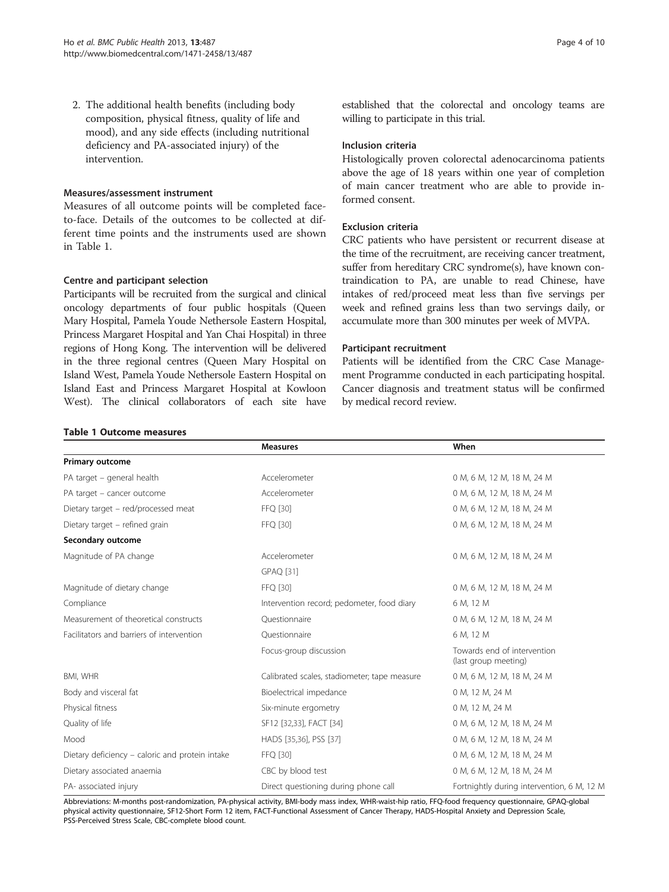2. The additional health benefits (including body composition, physical fitness, quality of life and mood), and any side effects (including nutritional deficiency and PA-associated injury) of the intervention.

#### Measures/assessment instrument

Measures of all outcome points will be completed faceto-face. Details of the outcomes to be collected at different time points and the instruments used are shown in Table 1.

#### Centre and participant selection

Participants will be recruited from the surgical and clinical oncology departments of four public hospitals (Queen Mary Hospital, Pamela Youde Nethersole Eastern Hospital, Princess Margaret Hospital and Yan Chai Hospital) in three regions of Hong Kong. The intervention will be delivered in the three regional centres (Queen Mary Hospital on Island West, Pamela Youde Nethersole Eastern Hospital on Island East and Princess Margaret Hospital at Kowloon West). The clinical collaborators of each site have

# established that the colorectal and oncology teams are willing to participate in this trial.

#### Inclusion criteria

Histologically proven colorectal adenocarcinoma patients above the age of 18 years within one year of completion of main cancer treatment who are able to provide informed consent.

# Exclusion criteria

CRC patients who have persistent or recurrent disease at the time of the recruitment, are receiving cancer treatment, suffer from hereditary CRC syndrome(s), have known contraindication to PA, are unable to read Chinese, have intakes of red/proceed meat less than five servings per week and refined grains less than two servings daily, or accumulate more than 300 minutes per week of MVPA.

#### Participant recruitment

Patients will be identified from the CRC Case Management Programme conducted in each participating hospital. Cancer diagnosis and treatment status will be confirmed by medical record review.

#### Table 1 Outcome measures

|                                                 | <b>Measures</b>                              | When                                                |
|-------------------------------------------------|----------------------------------------------|-----------------------------------------------------|
| <b>Primary outcome</b>                          |                                              |                                                     |
| PA target - general health                      | Accelerometer                                | 0 M, 6 M, 12 M, 18 M, 24 M                          |
| PA target - cancer outcome                      | Accelerometer                                | 0 M, 6 M, 12 M, 18 M, 24 M                          |
| Dietary target - red/processed meat             | <b>FFQ [30]</b>                              | 0 M, 6 M, 12 M, 18 M, 24 M                          |
| Dietary target - refined grain                  | <b>FFQ [30]</b>                              | 0 M, 6 M, 12 M, 18 M, 24 M                          |
| Secondary outcome                               |                                              |                                                     |
| Magnitude of PA change                          | Accelerometer                                | 0 M, 6 M, 12 M, 18 M, 24 M                          |
|                                                 | GPAQ [31]                                    |                                                     |
| Magnitude of dietary change                     | <b>FFQ [30]</b>                              | 0 M, 6 M, 12 M, 18 M, 24 M                          |
| Compliance                                      | Intervention record; pedometer, food diary   | 6 M, 12 M                                           |
| Measurement of theoretical constructs           | Ouestionnaire                                | 0 M, 6 M, 12 M, 18 M, 24 M                          |
| Facilitators and barriers of intervention       | Ouestionnaire                                | 6 M, 12 M                                           |
|                                                 | Focus-group discussion                       | Towards end of intervention<br>(last group meeting) |
| BMI, WHR                                        | Calibrated scales, stadiometer; tape measure | 0 M, 6 M, 12 M, 18 M, 24 M                          |
| Body and visceral fat                           | Bioelectrical impedance                      | 0 M, 12 M, 24 M                                     |
| Physical fitness                                | Six-minute ergometry                         | 0 M, 12 M, 24 M                                     |
| Quality of life                                 | SF12 [32,33], FACT [34]                      | 0 M, 6 M, 12 M, 18 M, 24 M                          |
| Mood                                            | HADS [35,36], PSS [37]                       | 0 M, 6 M, 12 M, 18 M, 24 M                          |
| Dietary deficiency - caloric and protein intake | <b>FFQ [30]</b>                              | 0 M, 6 M, 12 M, 18 M, 24 M                          |
| Dietary associated anaemia                      | CBC by blood test                            | 0 M, 6 M, 12 M, 18 M, 24 M                          |
| PA- associated injury                           | Direct questioning during phone call         | Fortnightly during intervention, 6 M, 12 M          |

Abbreviations: M-months post-randomization, PA-physical activity, BMI-body mass index, WHR-waist-hip ratio, FFQ-food frequency questionnaire, GPAQ-global physical activity questionnaire, SF12-Short Form 12 item, FACT-Functional Assessment of Cancer Therapy, HADS-Hospital Anxiety and Depression Scale, PSS-Perceived Stress Scale, CBC-complete blood count.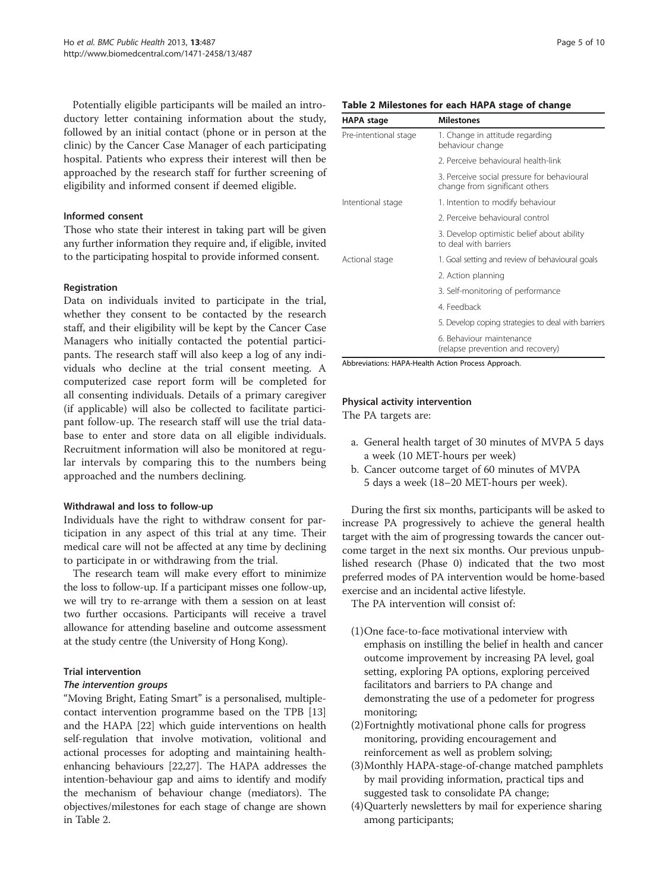Potentially eligible participants will be mailed an introductory letter containing information about the study, followed by an initial contact (phone or in person at the clinic) by the Cancer Case Manager of each participating hospital. Patients who express their interest will then be approached by the research staff for further screening of eligibility and informed consent if deemed eligible.

#### Informed consent

Those who state their interest in taking part will be given any further information they require and, if eligible, invited to the participating hospital to provide informed consent.

#### Registration

Data on individuals invited to participate in the trial, whether they consent to be contacted by the research staff, and their eligibility will be kept by the Cancer Case Managers who initially contacted the potential participants. The research staff will also keep a log of any individuals who decline at the trial consent meeting. A computerized case report form will be completed for all consenting individuals. Details of a primary caregiver (if applicable) will also be collected to facilitate participant follow-up. The research staff will use the trial database to enter and store data on all eligible individuals. Recruitment information will also be monitored at regular intervals by comparing this to the numbers being approached and the numbers declining.

## Withdrawal and loss to follow-up

Individuals have the right to withdraw consent for participation in any aspect of this trial at any time. Their medical care will not be affected at any time by declining to participate in or withdrawing from the trial.

The research team will make every effort to minimize the loss to follow-up. If a participant misses one follow-up, we will try to re-arrange with them a session on at least two further occasions. Participants will receive a travel allowance for attending baseline and outcome assessment at the study centre (the University of Hong Kong).

## Trial intervention

#### The intervention groups

"Moving Bright, Eating Smart" is a personalised, multiplecontact intervention programme based on the TPB [[13](#page-10-0)] and the HAPA [\[22\]](#page-10-0) which guide interventions on health self-regulation that involve motivation, volitional and actional processes for adopting and maintaining healthenhancing behaviours [\[22,27\]](#page-10-0). The HAPA addresses the intention-behaviour gap and aims to identify and modify the mechanism of behaviour change (mediators). The objectives/milestones for each stage of change are shown in Table 2.

#### Table 2 Milestones for each HAPA stage of change

| HAPA stage            | <b>Milestones</b>                                                             |  |
|-----------------------|-------------------------------------------------------------------------------|--|
| Pre-intentional stage | 1. Change in attitude regarding<br>behaviour change                           |  |
|                       | 2. Perceive behavioural health-link                                           |  |
|                       | 3. Perceive social pressure for behavioural<br>change from significant others |  |
| Intentional stage     | 1. Intention to modify behaviour                                              |  |
|                       | 2 Perceive behavioural control                                                |  |
|                       | 3. Develop optimistic belief about ability<br>to deal with barriers           |  |
| Actional stage        | 1. Goal setting and review of behavioural goals                               |  |
|                       | 2. Action planning                                                            |  |
|                       | 3. Self-monitoring of performance                                             |  |
|                       | 4. Feedback                                                                   |  |
|                       | 5. Develop coping strategies to deal with barriers                            |  |
|                       | 6. Behaviour maintenance<br>(relapse prevention and recovery)                 |  |

Abbreviations: HAPA-Health Action Process Approach.

#### Physical activity intervention

The PA targets are:

- a. General health target of 30 minutes of MVPA 5 days a week (10 MET-hours per week)
- b. Cancer outcome target of 60 minutes of MVPA 5 days a week (18–20 MET-hours per week).

During the first six months, participants will be asked to increase PA progressively to achieve the general health target with the aim of progressing towards the cancer outcome target in the next six months. Our previous unpublished research (Phase 0) indicated that the two most preferred modes of PA intervention would be home-based exercise and an incidental active lifestyle.

The PA intervention will consist of:

- (1)One face-to-face motivational interview with emphasis on instilling the belief in health and cancer outcome improvement by increasing PA level, goal setting, exploring PA options, exploring perceived facilitators and barriers to PA change and demonstrating the use of a pedometer for progress monitoring;
- (2)Fortnightly motivational phone calls for progress monitoring, providing encouragement and reinforcement as well as problem solving;
- (3)Monthly HAPA-stage-of-change matched pamphlets by mail providing information, practical tips and suggested task to consolidate PA change;
- (4)Quarterly newsletters by mail for experience sharing among participants;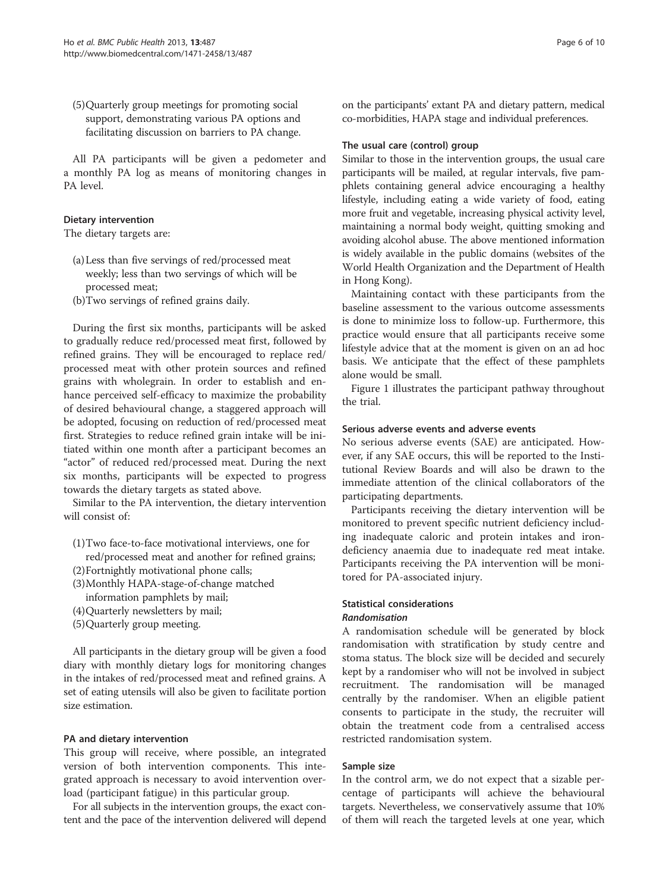(5)Quarterly group meetings for promoting social support, demonstrating various PA options and facilitating discussion on barriers to PA change.

All PA participants will be given a pedometer and a monthly PA log as means of monitoring changes in PA level.

#### Dietary intervention

The dietary targets are:

- (a)Less than five servings of red/processed meat weekly; less than two servings of which will be processed meat;
- (b)Two servings of refined grains daily.

During the first six months, participants will be asked to gradually reduce red/processed meat first, followed by refined grains. They will be encouraged to replace red/ processed meat with other protein sources and refined grains with wholegrain. In order to establish and enhance perceived self-efficacy to maximize the probability of desired behavioural change, a staggered approach will be adopted, focusing on reduction of red/processed meat first. Strategies to reduce refined grain intake will be initiated within one month after a participant becomes an "actor" of reduced red/processed meat. During the next six months, participants will be expected to progress towards the dietary targets as stated above.

Similar to the PA intervention, the dietary intervention will consist of:

- (1)Two face-to-face motivational interviews, one for red/processed meat and another for refined grains;
- (2)Fortnightly motivational phone calls;
- (3)Monthly HAPA-stage-of-change matched information pamphlets by mail;
- (4)Quarterly newsletters by mail;
- (5)Quarterly group meeting.

All participants in the dietary group will be given a food diary with monthly dietary logs for monitoring changes in the intakes of red/processed meat and refined grains. A set of eating utensils will also be given to facilitate portion size estimation.

#### PA and dietary intervention

This group will receive, where possible, an integrated version of both intervention components. This integrated approach is necessary to avoid intervention overload (participant fatigue) in this particular group.

For all subjects in the intervention groups, the exact content and the pace of the intervention delivered will depend on the participants' extant PA and dietary pattern, medical co-morbidities, HAPA stage and individual preferences.

#### The usual care (control) group

Similar to those in the intervention groups, the usual care participants will be mailed, at regular intervals, five pamphlets containing general advice encouraging a healthy lifestyle, including eating a wide variety of food, eating more fruit and vegetable, increasing physical activity level, maintaining a normal body weight, quitting smoking and avoiding alcohol abuse. The above mentioned information is widely available in the public domains (websites of the World Health Organization and the Department of Health in Hong Kong).

Maintaining contact with these participants from the baseline assessment to the various outcome assessments is done to minimize loss to follow-up. Furthermore, this practice would ensure that all participants receive some lifestyle advice that at the moment is given on an ad hoc basis. We anticipate that the effect of these pamphlets alone would be small.

Figure [1](#page-7-0) illustrates the participant pathway throughout the trial.

#### Serious adverse events and adverse events

No serious adverse events (SAE) are anticipated. However, if any SAE occurs, this will be reported to the Institutional Review Boards and will also be drawn to the immediate attention of the clinical collaborators of the participating departments.

Participants receiving the dietary intervention will be monitored to prevent specific nutrient deficiency including inadequate caloric and protein intakes and irondeficiency anaemia due to inadequate red meat intake. Participants receiving the PA intervention will be monitored for PA-associated injury.

#### Statistical considerations

#### Randomisation

A randomisation schedule will be generated by block randomisation with stratification by study centre and stoma status. The block size will be decided and securely kept by a randomiser who will not be involved in subject recruitment. The randomisation will be managed centrally by the randomiser. When an eligible patient consents to participate in the study, the recruiter will obtain the treatment code from a centralised access restricted randomisation system.

#### Sample size

In the control arm, we do not expect that a sizable percentage of participants will achieve the behavioural targets. Nevertheless, we conservatively assume that 10% of them will reach the targeted levels at one year, which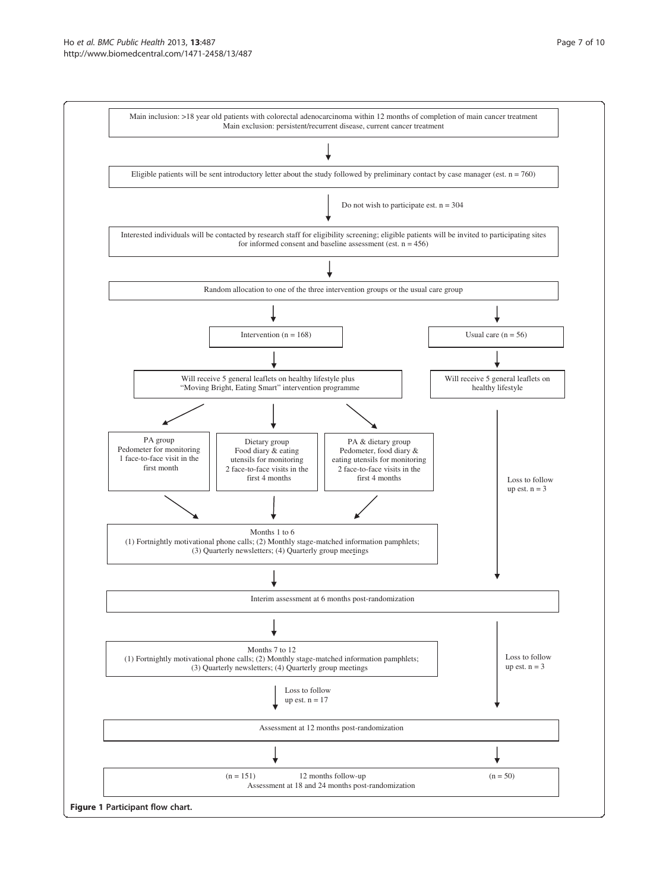<span id="page-7-0"></span>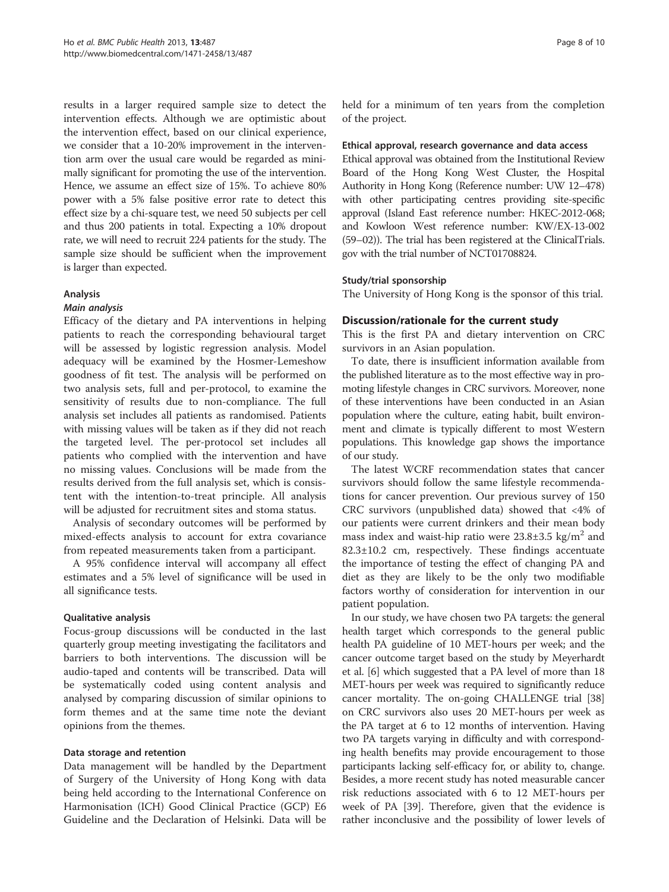results in a larger required sample size to detect the intervention effects. Although we are optimistic about the intervention effect, based on our clinical experience, we consider that a 10-20% improvement in the intervention arm over the usual care would be regarded as minimally significant for promoting the use of the intervention. Hence, we assume an effect size of 15%. To achieve 80% power with a 5% false positive error rate to detect this effect size by a chi-square test, we need 50 subjects per cell and thus 200 patients in total. Expecting a 10% dropout rate, we will need to recruit 224 patients for the study. The sample size should be sufficient when the improvement is larger than expected.

#### Analysis

#### Main analysis

Efficacy of the dietary and PA interventions in helping patients to reach the corresponding behavioural target will be assessed by logistic regression analysis. Model adequacy will be examined by the Hosmer-Lemeshow goodness of fit test. The analysis will be performed on two analysis sets, full and per-protocol, to examine the sensitivity of results due to non-compliance. The full analysis set includes all patients as randomised. Patients with missing values will be taken as if they did not reach the targeted level. The per-protocol set includes all patients who complied with the intervention and have no missing values. Conclusions will be made from the results derived from the full analysis set, which is consistent with the intention-to-treat principle. All analysis will be adjusted for recruitment sites and stoma status.

Analysis of secondary outcomes will be performed by mixed-effects analysis to account for extra covariance from repeated measurements taken from a participant.

A 95% confidence interval will accompany all effect estimates and a 5% level of significance will be used in all significance tests.

#### Qualitative analysis

Focus-group discussions will be conducted in the last quarterly group meeting investigating the facilitators and barriers to both interventions. The discussion will be audio-taped and contents will be transcribed. Data will be systematically coded using content analysis and analysed by comparing discussion of similar opinions to form themes and at the same time note the deviant opinions from the themes.

#### Data storage and retention

Data management will be handled by the Department of Surgery of the University of Hong Kong with data being held according to the International Conference on Harmonisation (ICH) Good Clinical Practice (GCP) E6 Guideline and the Declaration of Helsinki. Data will be held for a minimum of ten years from the completion of the project.

#### Ethical approval, research governance and data access

Ethical approval was obtained from the Institutional Review Board of the Hong Kong West Cluster, the Hospital Authority in Hong Kong (Reference number: UW 12–478) with other participating centres providing site-specific approval (Island East reference number: HKEC-2012-068; and Kowloon West reference number: KW/EX-13-002 (59–02)). The trial has been registered at the ClinicalTrials. gov with the trial number of NCT01708824.

## Study/trial sponsorship

The University of Hong Kong is the sponsor of this trial.

## Discussion/rationale for the current study

This is the first PA and dietary intervention on CRC survivors in an Asian population.

To date, there is insufficient information available from the published literature as to the most effective way in promoting lifestyle changes in CRC survivors. Moreover, none of these interventions have been conducted in an Asian population where the culture, eating habit, built environment and climate is typically different to most Western populations. This knowledge gap shows the importance of our study.

The latest WCRF recommendation states that cancer survivors should follow the same lifestyle recommendations for cancer prevention. Our previous survey of 150 CRC survivors (unpublished data) showed that <4% of our patients were current drinkers and their mean body mass index and waist-hip ratio were  $23.8\pm3.5$  kg/m<sup>2</sup> and 82.3±10.2 cm, respectively. These findings accentuate the importance of testing the effect of changing PA and diet as they are likely to be the only two modifiable factors worthy of consideration for intervention in our patient population.

In our study, we have chosen two PA targets: the general health target which corresponds to the general public health PA guideline of 10 MET-hours per week; and the cancer outcome target based on the study by Meyerhardt et al. [\[6](#page-10-0)] which suggested that a PA level of more than 18 MET-hours per week was required to significantly reduce cancer mortality. The on-going CHALLENGE trial [[38](#page-10-0)] on CRC survivors also uses 20 MET-hours per week as the PA target at 6 to 12 months of intervention. Having two PA targets varying in difficulty and with corresponding health benefits may provide encouragement to those participants lacking self-efficacy for, or ability to, change. Besides, a more recent study has noted measurable cancer risk reductions associated with 6 to 12 MET-hours per week of PA [\[39](#page-10-0)]. Therefore, given that the evidence is rather inconclusive and the possibility of lower levels of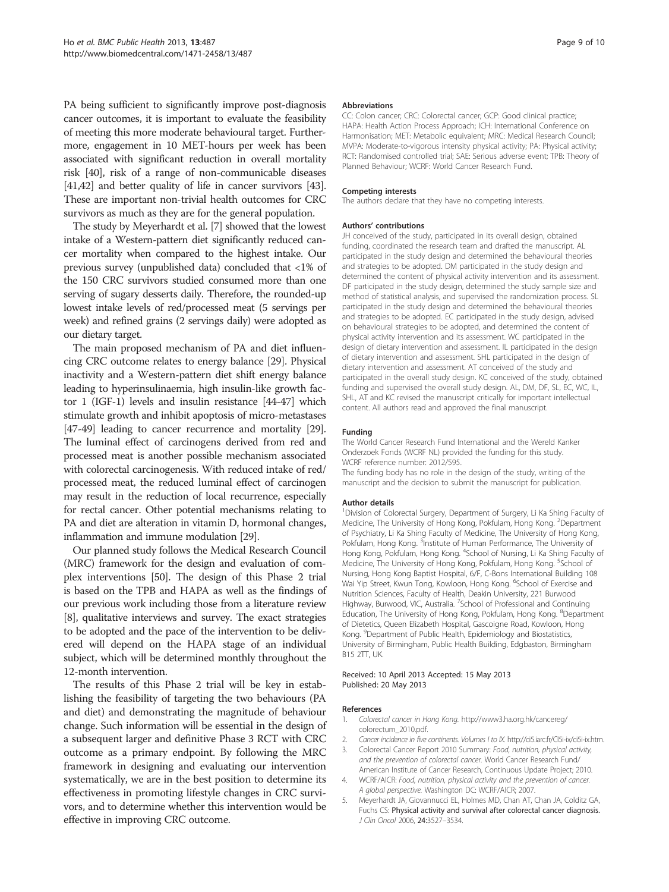<span id="page-9-0"></span>PA being sufficient to significantly improve post-diagnosis cancer outcomes, it is important to evaluate the feasibility of meeting this more moderate behavioural target. Furthermore, engagement in 10 MET-hours per week has been associated with significant reduction in overall mortality risk [[40](#page-10-0)], risk of a range of non-communicable diseases [[41,42\]](#page-10-0) and better quality of life in cancer survivors [[43](#page-10-0)]. These are important non-trivial health outcomes for CRC survivors as much as they are for the general population.

The study by Meyerhardt et al. [\[7](#page-10-0)] showed that the lowest intake of a Western-pattern diet significantly reduced cancer mortality when compared to the highest intake. Our previous survey (unpublished data) concluded that <1% of the 150 CRC survivors studied consumed more than one serving of sugary desserts daily. Therefore, the rounded-up lowest intake levels of red/processed meat (5 servings per week) and refined grains (2 servings daily) were adopted as our dietary target.

The main proposed mechanism of PA and diet influencing CRC outcome relates to energy balance [\[29](#page-10-0)]. Physical inactivity and a Western-pattern diet shift energy balance leading to hyperinsulinaemia, high insulin-like growth factor 1 (IGF-1) levels and insulin resistance [[44](#page-10-0)-[47](#page-10-0)] which stimulate growth and inhibit apoptosis of micro-metastases [[47](#page-10-0)-[49](#page-10-0)] leading to cancer recurrence and mortality [[29](#page-10-0)]. The luminal effect of carcinogens derived from red and processed meat is another possible mechanism associated with colorectal carcinogenesis. With reduced intake of red/ processed meat, the reduced luminal effect of carcinogen may result in the reduction of local recurrence, especially for rectal cancer. Other potential mechanisms relating to PA and diet are alteration in vitamin D, hormonal changes, inflammation and immune modulation [[29](#page-10-0)].

Our planned study follows the Medical Research Council (MRC) framework for the design and evaluation of complex interventions [\[50\]](#page-10-0). The design of this Phase 2 trial is based on the TPB and HAPA as well as the findings of our previous work including those from a literature review [[8](#page-10-0)], qualitative interviews and survey. The exact strategies to be adopted and the pace of the intervention to be delivered will depend on the HAPA stage of an individual subject, which will be determined monthly throughout the 12-month intervention.

The results of this Phase 2 trial will be key in establishing the feasibility of targeting the two behaviours (PA and diet) and demonstrating the magnitude of behaviour change. Such information will be essential in the design of a subsequent larger and definitive Phase 3 RCT with CRC outcome as a primary endpoint. By following the MRC framework in designing and evaluating our intervention systematically, we are in the best position to determine its effectiveness in promoting lifestyle changes in CRC survivors, and to determine whether this intervention would be effective in improving CRC outcome.

#### Abbreviations

CC: Colon cancer; CRC: Colorectal cancer; GCP: Good clinical practice; HAPA: Health Action Process Approach; ICH: International Conference on Harmonisation; MET: Metabolic equivalent; MRC: Medical Research Council; MVPA: Moderate-to-vigorous intensity physical activity; PA: Physical activity; RCT: Randomised controlled trial; SAE: Serious adverse event; TPB: Theory of Planned Behaviour; WCRF: World Cancer Research Fund.

#### Competing interests

The authors declare that they have no competing interests.

#### Authors' contributions

JH conceived of the study, participated in its overall design, obtained funding, coordinated the research team and drafted the manuscript. AL participated in the study design and determined the behavioural theories and strategies to be adopted. DM participated in the study design and determined the content of physical activity intervention and its assessment. DF participated in the study design, determined the study sample size and method of statistical analysis, and supervised the randomization process. SL participated in the study design and determined the behavioural theories and strategies to be adopted. EC participated in the study design, advised on behavioural strategies to be adopted, and determined the content of physical activity intervention and its assessment. WC participated in the design of dietary intervention and assessment. IL participated in the design of dietary intervention and assessment. SHL participated in the design of dietary intervention and assessment. AT conceived of the study and participated in the overall study design. KC conceived of the study, obtained funding and supervised the overall study design. AL, DM, DF, SL, EC, WC, IL, SHL, AT and KC revised the manuscript critically for important intellectual content. All authors read and approved the final manuscript.

#### Funding

The World Cancer Research Fund International and the Wereld Kanker Onderzoek Fonds (WCRF NL) provided the funding for this study. WCRF reference number: 2012/595.

The funding body has no role in the design of the study, writing of the manuscript and the decision to submit the manuscript for publication.

#### Author details

<sup>1</sup> Division of Colorectal Surgery, Department of Surgery, Li Ka Shing Faculty of Medicine, The University of Hong Kong, Pokfulam, Hong Kong. <sup>2</sup>Department of Psychiatry, Li Ka Shing Faculty of Medicine, The University of Hong Kong, Pokfulam, Hong Kong. <sup>3</sup>Institute of Human Performance, The University of Hong Kong, Pokfulam, Hong Kong. <sup>4</sup>School of Nursing, Li Ka Shing Faculty of Medicine, The University of Hong Kong, Pokfulam, Hong Kong. <sup>5</sup>School of Nursing, Hong Kong Baptist Hospital, 6/F, C-Bons International Building 108 Wai Yip Street, Kwun Tong, Kowloon, Hong Kong. <sup>6</sup>School of Exercise and Nutrition Sciences, Faculty of Health, Deakin University, 221 Burwood Highway, Burwood, VIC, Australia. <sup>7</sup>School of Professional and Continuing Education, The University of Hong Kong, Pokfulam, Hong Kong. <sup>8</sup>Department of Dietetics, Queen Elizabeth Hospital, Gascoigne Road, Kowloon, Hong Kong. <sup>9</sup> Department of Public Health, Epidemiology and Biostatistics University of Birmingham, Public Health Building, Edgbaston, Birmingham B15 2TT, UK.

#### Received: 10 April 2013 Accepted: 15 May 2013 Published: 20 May 2013

#### References

- 1. Colorectal cancer in Hong Kong. [http://www3.ha.org.hk/cancereg/](http://www3.ha.org.hk/cancereg/colorectum_2010.pdf) [colorectum\\_2010.pdf](http://www3.ha.org.hk/cancereg/colorectum_2010.pdf).
- Cancer incidence in five continents. Volumes I to IX. [http://ci5.iarc.fr/CI5i-ix/ci5i-ix.htm.](http://ci5.iarc.fr/CI5i-ix/ci5i-ix.htm)
- 3. Colorectal Cancer Report 2010 Summary: Food, nutrition, physical activity, and the prevention of colorectal cancer. World Cancer Research Fund/ American Institute of Cancer Research, Continuous Update Project; 2010.
- 4. WCRF/AICR: Food, nutrition, physical activity and the prevention of cancer. A global perspective. Washington DC: WCRF/AICR; 2007.
- 5. Meyerhardt JA, Giovannucci EL, Holmes MD, Chan AT, Chan JA, Colditz GA, Fuchs CS: Physical activity and survival after colorectal cancer diagnosis. J Clin Oncol 2006, 24:3527–3534.